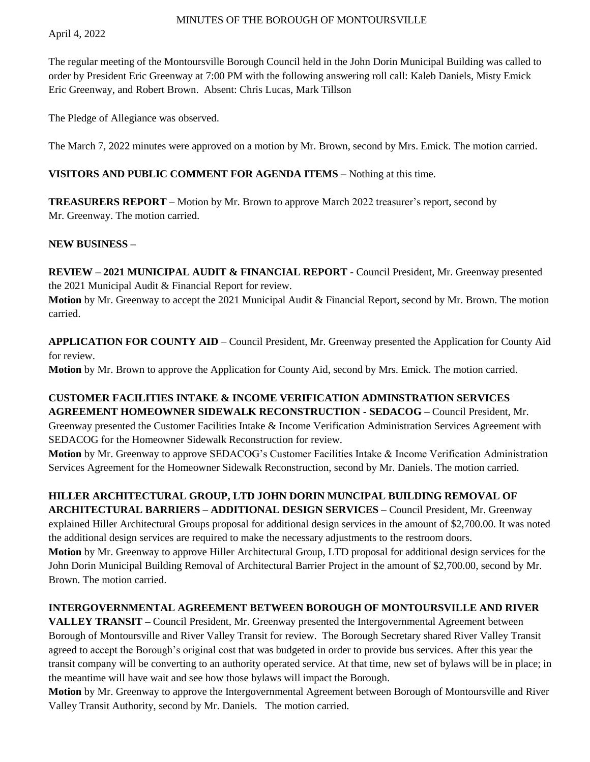April 4, 2022

The regular meeting of the Montoursville Borough Council held in the John Dorin Municipal Building was called to order by President Eric Greenway at 7:00 PM with the following answering roll call: Kaleb Daniels, Misty Emick Eric Greenway, and Robert Brown. Absent: Chris Lucas, Mark Tillson

The Pledge of Allegiance was observed.

The March 7, 2022 minutes were approved on a motion by Mr. Brown, second by Mrs. Emick. The motion carried.

#### **VISITORS AND PUBLIC COMMENT FOR AGENDA ITEMS –** Nothing at this time.

**TREASURERS REPORT –** Motion by Mr. Brown to approve March 2022 treasurer's report, second by Mr. Greenway. The motion carried.

#### **NEW BUSINESS –**

**REVIEW – 2021 MUNICIPAL AUDIT & FINANCIAL REPORT -** Council President, Mr. Greenway presented the 2021 Municipal Audit & Financial Report for review.

**Motion** by Mr. Greenway to accept the 2021 Municipal Audit & Financial Report, second by Mr. Brown. The motion carried.

**APPLICATION FOR COUNTY AID** – Council President, Mr. Greenway presented the Application for County Aid for review.

**Motion** by Mr. Brown to approve the Application for County Aid, second by Mrs. Emick. The motion carried.

## **CUSTOMER FACILITIES INTAKE & INCOME VERIFICATION ADMINSTRATION SERVICES AGREEMENT HOMEOWNER SIDEWALK RECONSTRUCTION - SEDACOG –** Council President, Mr.

Greenway presented the Customer Facilities Intake & Income Verification Administration Services Agreement with SEDACOG for the Homeowner Sidewalk Reconstruction for review.

**Motion** by Mr. Greenway to approve SEDACOG's Customer Facilities Intake & Income Verification Administration Services Agreement for the Homeowner Sidewalk Reconstruction, second by Mr. Daniels. The motion carried.

# **HILLER ARCHITECTURAL GROUP, LTD JOHN DORIN MUNCIPAL BUILDING REMOVAL OF ARCHITECTURAL BARRIERS – ADDITIONAL DESIGN SERVICES –** Council President, Mr. Greenway

explained Hiller Architectural Groups proposal for additional design services in the amount of \$2,700.00. It was noted the additional design services are required to make the necessary adjustments to the restroom doors. **Motion** by Mr. Greenway to approve Hiller Architectural Group, LTD proposal for additional design services for the John Dorin Municipal Building Removal of Architectural Barrier Project in the amount of \$2,700.00, second by Mr.

Brown. The motion carried.

## **INTERGOVERNMENTAL AGREEMENT BETWEEN BOROUGH OF MONTOURSVILLE AND RIVER**

**VALLEY TRANSIT –** Council President, Mr. Greenway presented the Intergovernmental Agreement between Borough of Montoursville and River Valley Transit for review. The Borough Secretary shared River Valley Transit agreed to accept the Borough's original cost that was budgeted in order to provide bus services. After this year the transit company will be converting to an authority operated service. At that time, new set of bylaws will be in place; in the meantime will have wait and see how those bylaws will impact the Borough.

**Motion** by Mr. Greenway to approve the Intergovernmental Agreement between Borough of Montoursville and River Valley Transit Authority, second by Mr. Daniels. The motion carried.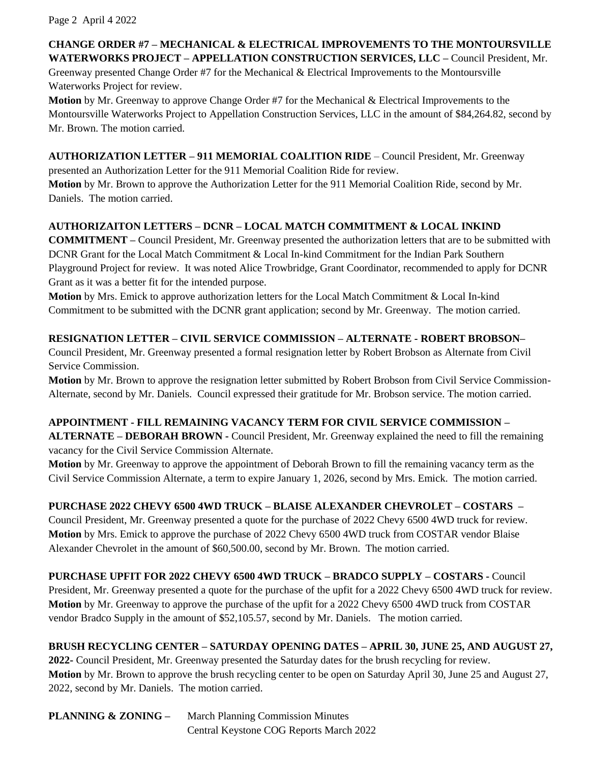Page 2 April 4 2022

#### **CHANGE ORDER #7 – MECHANICAL & ELECTRICAL IMPROVEMENTS TO THE MONTOURSVILLE WATERWORKS PROJECT – APPELLATION CONSTRUCTION SERVICES, LLC –** Council President, Mr.

Greenway presented Change Order #7 for the Mechanical & Electrical Improvements to the Montoursville Waterworks Project for review.

**Motion** by Mr. Greenway to approve Change Order #7 for the Mechanical & Electrical Improvements to the Montoursville Waterworks Project to Appellation Construction Services, LLC in the amount of \$84,264.82, second by Mr. Brown. The motion carried.

**AUTHORIZATION LETTER – 911 MEMORIAL COALITION RIDE** – Council President, Mr. Greenway presented an Authorization Letter for the 911 Memorial Coalition Ride for review. **Motion** by Mr. Brown to approve the Authorization Letter for the 911 Memorial Coalition Ride, second by Mr. Daniels. The motion carried.

## **AUTHORIZAITON LETTERS – DCNR – LOCAL MATCH COMMITMENT & LOCAL INKIND**

**COMMITMENT –** Council President, Mr. Greenway presented the authorization letters that are to be submitted with DCNR Grant for the Local Match Commitment & Local In-kind Commitment for the Indian Park Southern Playground Project for review. It was noted Alice Trowbridge, Grant Coordinator, recommended to apply for DCNR Grant as it was a better fit for the intended purpose.

**Motion** by Mrs. Emick to approve authorization letters for the Local Match Commitment & Local In-kind Commitment to be submitted with the DCNR grant application; second by Mr. Greenway. The motion carried.

# **RESIGNATION LETTER – CIVIL SERVICE COMMISSION – ALTERNATE - ROBERT BROBSON–**

Council President, Mr. Greenway presented a formal resignation letter by Robert Brobson as Alternate from Civil Service Commission.

**Motion** by Mr. Brown to approve the resignation letter submitted by Robert Brobson from Civil Service Commission-Alternate, second by Mr. Daniels. Council expressed their gratitude for Mr. Brobson service. The motion carried.

# **APPOINTMENT - FILL REMAINING VACANCY TERM FOR CIVIL SERVICE COMMISSION –**

**ALTERNATE – DEBORAH BROWN -** Council President, Mr. Greenway explained the need to fill the remaining vacancy for the Civil Service Commission Alternate.

**Motion** by Mr. Greenway to approve the appointment of Deborah Brown to fill the remaining vacancy term as the Civil Service Commission Alternate, a term to expire January 1, 2026, second by Mrs. Emick. The motion carried.

**PURCHASE 2022 CHEVY 6500 4WD TRUCK – BLAISE ALEXANDER CHEVROLET – COSTARS –** Council President, Mr. Greenway presented a quote for the purchase of 2022 Chevy 6500 4WD truck for review. **Motion** by Mrs. Emick to approve the purchase of 2022 Chevy 6500 4WD truck from COSTAR vendor Blaise Alexander Chevrolet in the amount of \$60,500.00, second by Mr. Brown. The motion carried.

**PURCHASE UPFIT FOR 2022 CHEVY 6500 4WD TRUCK – BRADCO SUPPLY – COSTARS -** Council President, Mr. Greenway presented a quote for the purchase of the upfit for a 2022 Chevy 6500 4WD truck for review. **Motion** by Mr. Greenway to approve the purchase of the upfit for a 2022 Chevy 6500 4WD truck from COSTAR vendor Bradco Supply in the amount of \$52,105.57, second by Mr. Daniels. The motion carried.

# **BRUSH RECYCLING CENTER – SATURDAY OPENING DATES – APRIL 30, JUNE 25, AND AUGUST 27,**

**2022-** Council President, Mr. Greenway presented the Saturday dates for the brush recycling for review. **Motion** by Mr. Brown to approve the brush recycling center to be open on Saturday April 30, June 25 and August 27, 2022, second by Mr. Daniels. The motion carried.

| <b>PLANNING &amp; ZONING -</b> | <b>March Planning Commission Minutes</b> |
|--------------------------------|------------------------------------------|
|                                | Central Keystone COG Reports March 2022  |